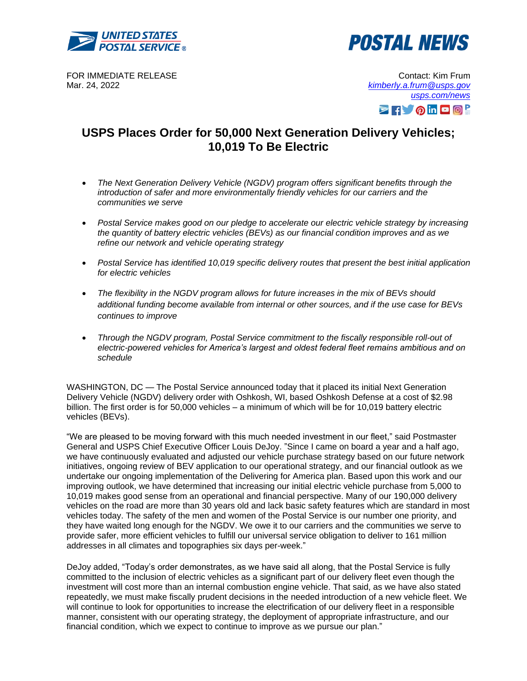



FOR IMMEDIATE RELEASE Mar. 24, 2022

Contact: Kim Frum *[kimberly.a.frum@usps.gov](mailto:kimberly.a.frum@usps.gov) [usps.com/news](https://about.usps.com/newsroom/)* **ZHVOINDO!** 

## **USPS Places Order for 50,000 Next Generation Delivery Vehicles; 10,019 To Be Electric**

- *The Next Generation Delivery Vehicle (NGDV) program offers significant benefits through the introduction of safer and more environmentally friendly vehicles for our carriers and the communities we serve*
- *Postal Service makes good on our pledge to accelerate our electric vehicle strategy by increasing the quantity of battery electric vehicles (BEVs) as our financial condition improves and as we refine our network and vehicle operating strategy*
- *Postal Service has identified 10,019 specific delivery routes that present the best initial application for electric vehicles*
- *The flexibility in the NGDV program allows for future increases in the mix of BEVs should additional funding become available from internal or other sources, and if the use case for BEVs continues to improve*
- *Through the NGDV program, Postal Service commitment to the fiscally responsible roll-out of electric-powered vehicles for America's largest and oldest federal fleet remains ambitious and on schedule*

WASHINGTON, DC — The Postal Service announced today that it placed its initial Next Generation Delivery Vehicle (NGDV) delivery order with Oshkosh, WI, based Oshkosh Defense at a cost of \$2.98 billion. The first order is for 50,000 vehicles – a minimum of which will be for 10,019 battery electric vehicles (BEVs).

"We are pleased to be moving forward with this much needed investment in our fleet," said Postmaster General and USPS Chief Executive Officer Louis DeJoy. "Since I came on board a year and a half ago, we have continuously evaluated and adjusted our vehicle purchase strategy based on our future network initiatives, ongoing review of BEV application to our operational strategy, and our financial outlook as we undertake our ongoing implementation of the Delivering for America plan. Based upon this work and our improving outlook, we have determined that increasing our initial electric vehicle purchase from 5,000 to 10,019 makes good sense from an operational and financial perspective. Many of our 190,000 delivery vehicles on the road are more than 30 years old and lack basic safety features which are standard in most vehicles today. The safety of the men and women of the Postal Service is our number one priority, and they have waited long enough for the NGDV. We owe it to our carriers and the communities we serve to provide safer, more efficient vehicles to fulfill our universal service obligation to deliver to 161 million addresses in all climates and topographies six days per-week."

DeJoy added, "Today's order demonstrates, as we have said all along, that the Postal Service is fully committed to the inclusion of electric vehicles as a significant part of our delivery fleet even though the investment will cost more than an internal combustion engine vehicle. That said, as we have also stated repeatedly, we must make fiscally prudent decisions in the needed introduction of a new vehicle fleet. We will continue to look for opportunities to increase the electrification of our delivery fleet in a responsible manner, consistent with our operating strategy, the deployment of appropriate infrastructure, and our financial condition, which we expect to continue to improve as we pursue our plan."